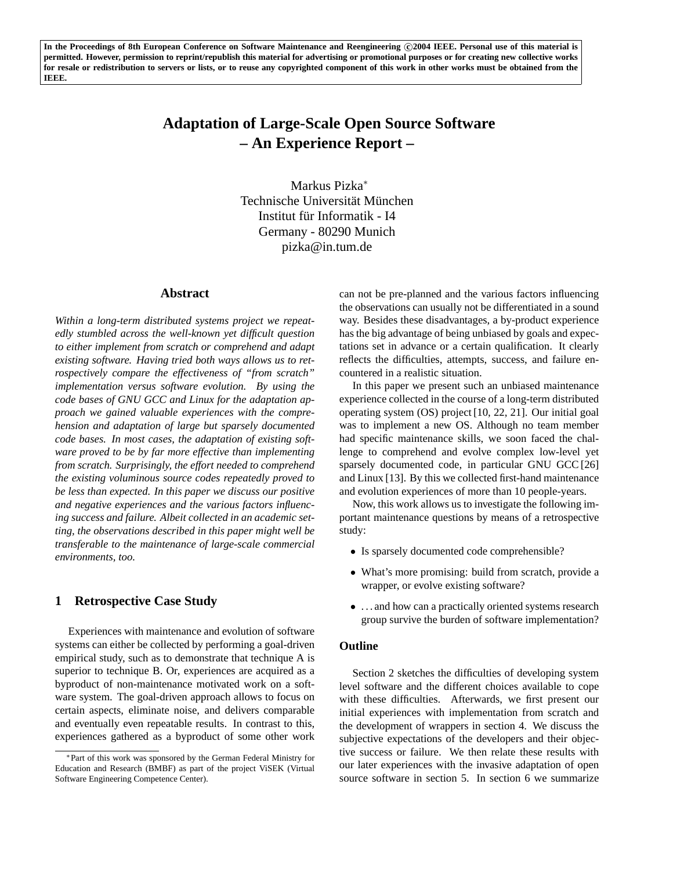In the Proceedings of 8th European Conference on Software Maintenance and Reengineering © 2004 IEEE. Personal use of this material is **permitted. However, permission to reprint/republish this material for advertising or promotional purposes or for creating new collective works for resale or redistribution to servers or lists, or to reuse any copyrighted component of this work in other works must be obtained from the IEEE.**

# **Adaptation of Large-Scale Open Source Software – An Experience Report –**

Markus Pizka<sup>∗</sup> Technische Universität München Institut für Informatik - I4 Germany - 80290 Munich pizka@in.tum.de

#### **Abstract**

*Within a long-term distributed systems project we repeatedly stumbled across the well-known yet difficult question to either implement from scratch or comprehend and adapt existing software. Having tried both ways allows us to retrospectively compare the effectiveness of "from scratch" implementation versus software evolution. By using the code bases of GNU GCC and Linux for the adaptation approach we gained valuable experiences with the comprehension and adaptation of large but sparsely documented code bases. In most cases, the adaptation of existing software proved to be by far more effective than implementing from scratch. Surprisingly, the effort needed to comprehend the existing voluminous source codes repeatedly proved to be less than expected. In this paper we discuss our positive and negative experiences and the various factors influencing success and failure. Albeit collected in an academic setting, the observations described in this paper might well be transferable to the maintenance of large-scale commercial environments, too.*

# **1 Retrospective Case Study**

Experiences with maintenance and evolution of software systems can either be collected by performing a goal-driven empirical study, such as to demonstrate that technique A is superior to technique B. Or, experiences are acquired as a byproduct of non-maintenance motivated work on a software system. The goal-driven approach allows to focus on certain aspects, eliminate noise, and delivers comparable and eventually even repeatable results. In contrast to this, experiences gathered as a byproduct of some other work can not be pre-planned and the various factors influencing the observations can usually not be differentiated in a sound way. Besides these disadvantages, a by-product experience has the big advantage of being unbiased by goals and expectations set in advance or a certain qualification. It clearly reflects the difficulties, attempts, success, and failure encountered in a realistic situation.

In this paper we present such an unbiased maintenance experience collected in the course of a long-term distributed operating system (OS) project [10, 22, 21]. Our initial goal was to implement a new OS. Although no team member had specific maintenance skills, we soon faced the challenge to comprehend and evolve complex low-level yet sparsely documented code, in particular GNU GCC [26] and Linux [13]. By this we collected first-hand maintenance and evolution experiences of more than 10 people-years.

Now, this work allows us to investigate the following important maintenance questions by means of a retrospective study:

- Is sparsely documented code comprehensible?
- What's more promising: build from scratch, provide a wrapper, or evolve existing software?
- ... and how can a practically oriented systems research group survive the burden of software implementation?

#### **Outline**

Section 2 sketches the difficulties of developing system level software and the different choices available to cope with these difficulties. Afterwards, we first present our initial experiences with implementation from scratch and the development of wrappers in section 4. We discuss the subjective expectations of the developers and their objective success or failure. We then relate these results with our later experiences with the invasive adaptation of open source software in section 5. In section 6 we summarize

<sup>∗</sup>Part of this work was sponsored by the German Federal Ministry for Education and Research (BMBF) as part of the project ViSEK (Virtual Software Engineering Competence Center).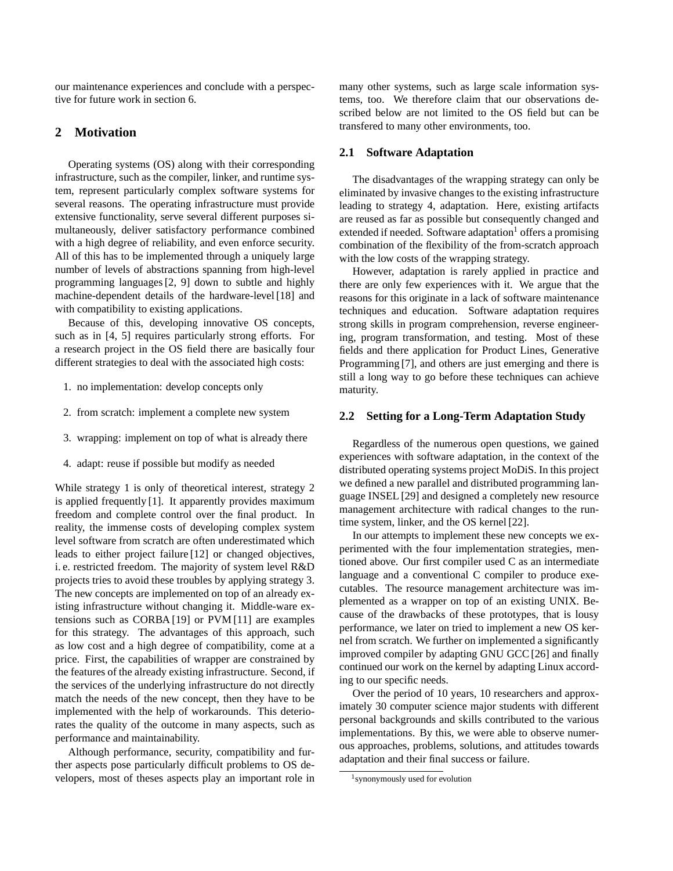our maintenance experiences and conclude with a perspective for future work in section 6.

# **2 Motivation**

Operating systems (OS) along with their corresponding infrastructure, such as the compiler, linker, and runtime system, represent particularly complex software systems for several reasons. The operating infrastructure must provide extensive functionality, serve several different purposes simultaneously, deliver satisfactory performance combined with a high degree of reliability, and even enforce security. All of this has to be implemented through a uniquely large number of levels of abstractions spanning from high-level programming languages [2, 9] down to subtle and highly machine-dependent details of the hardware-level [18] and with compatibility to existing applications.

Because of this, developing innovative OS concepts, such as in [4, 5] requires particularly strong efforts. For a research project in the OS field there are basically four different strategies to deal with the associated high costs:

- 1. no implementation: develop concepts only
- 2. from scratch: implement a complete new system
- 3. wrapping: implement on top of what is already there
- 4. adapt: reuse if possible but modify as needed

While strategy 1 is only of theoretical interest, strategy 2 is applied frequently [1]. It apparently provides maximum freedom and complete control over the final product. In reality, the immense costs of developing complex system level software from scratch are often underestimated which leads to either project failure [12] or changed objectives, i. e. restricted freedom. The majority of system level R&D projects tries to avoid these troubles by applying strategy 3. The new concepts are implemented on top of an already existing infrastructure without changing it. Middle-ware extensions such as CORBA [19] or PVM [11] are examples for this strategy. The advantages of this approach, such as low cost and a high degree of compatibility, come at a price. First, the capabilities of wrapper are constrained by the features of the already existing infrastructure. Second, if the services of the underlying infrastructure do not directly match the needs of the new concept, then they have to be implemented with the help of workarounds. This deteriorates the quality of the outcome in many aspects, such as performance and maintainability.

Although performance, security, compatibility and further aspects pose particularly difficult problems to OS developers, most of theses aspects play an important role in many other systems, such as large scale information systems, too. We therefore claim that our observations described below are not limited to the OS field but can be transfered to many other environments, too.

#### **2.1 Software Adaptation**

The disadvantages of the wrapping strategy can only be eliminated by invasive changes to the existing infrastructure leading to strategy 4, adaptation. Here, existing artifacts are reused as far as possible but consequently changed and extended if needed. Software adaptation<sup>1</sup> offers a promising combination of the flexibility of the from-scratch approach with the low costs of the wrapping strategy.

However, adaptation is rarely applied in practice and there are only few experiences with it. We argue that the reasons for this originate in a lack of software maintenance techniques and education. Software adaptation requires strong skills in program comprehension, reverse engineering, program transformation, and testing. Most of these fields and there application for Product Lines, Generative Programming [7], and others are just emerging and there is still a long way to go before these techniques can achieve maturity.

#### **2.2 Setting for a Long-Term Adaptation Study**

Regardless of the numerous open questions, we gained experiences with software adaptation, in the context of the distributed operating systems project MoDiS. In this project we defined a new parallel and distributed programming language INSEL [29] and designed a completely new resource management architecture with radical changes to the runtime system, linker, and the OS kernel [22].

In our attempts to implement these new concepts we experimented with the four implementation strategies, mentioned above. Our first compiler used C as an intermediate language and a conventional C compiler to produce executables. The resource management architecture was implemented as a wrapper on top of an existing UNIX. Because of the drawbacks of these prototypes, that is lousy performance, we later on tried to implement a new OS kernel from scratch. We further on implemented a significantly improved compiler by adapting GNU GCC [26] and finally continued our work on the kernel by adapting Linux according to our specific needs.

Over the period of 10 years, 10 researchers and approximately 30 computer science major students with different personal backgrounds and skills contributed to the various implementations. By this, we were able to observe numerous approaches, problems, solutions, and attitudes towards adaptation and their final success or failure.

<sup>1</sup> synonymously used for evolution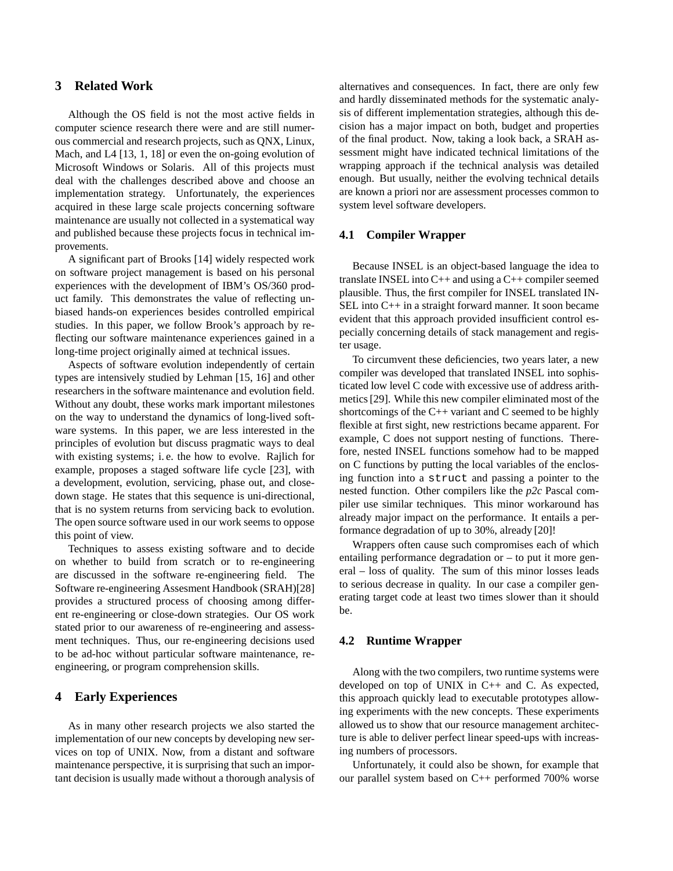# **3 Related Work**

Although the OS field is not the most active fields in computer science research there were and are still numerous commercial and research projects, such as QNX, Linux, Mach, and L4 [13, 1, 18] or even the on-going evolution of Microsoft Windows or Solaris. All of this projects must deal with the challenges described above and choose an implementation strategy. Unfortunately, the experiences acquired in these large scale projects concerning software maintenance are usually not collected in a systematical way and published because these projects focus in technical improvements.

A significant part of Brooks [14] widely respected work on software project management is based on his personal experiences with the development of IBM's OS/360 product family. This demonstrates the value of reflecting unbiased hands-on experiences besides controlled empirical studies. In this paper, we follow Brook's approach by reflecting our software maintenance experiences gained in a long-time project originally aimed at technical issues.

Aspects of software evolution independently of certain types are intensively studied by Lehman [15, 16] and other researchers in the software maintenance and evolution field. Without any doubt, these works mark important milestones on the way to understand the dynamics of long-lived software systems. In this paper, we are less interested in the principles of evolution but discuss pragmatic ways to deal with existing systems; i. e. the how to evolve. Rajlich for example, proposes a staged software life cycle [23], with a development, evolution, servicing, phase out, and closedown stage. He states that this sequence is uni-directional, that is no system returns from servicing back to evolution. The open source software used in our work seems to oppose this point of view.

Techniques to assess existing software and to decide on whether to build from scratch or to re-engineering are discussed in the software re-engineering field. The Software re-engineering Assesment Handbook (SRAH)[28] provides a structured process of choosing among different re-engineering or close-down strategies. Our OS work stated prior to our awareness of re-engineering and assessment techniques. Thus, our re-engineering decisions used to be ad-hoc without particular software maintenance, reengineering, or program comprehension skills.

# **4 Early Experiences**

As in many other research projects we also started the implementation of our new concepts by developing new services on top of UNIX. Now, from a distant and software maintenance perspective, it is surprising that such an important decision is usually made without a thorough analysis of alternatives and consequences. In fact, there are only few and hardly disseminated methods for the systematic analysis of different implementation strategies, although this decision has a major impact on both, budget and properties of the final product. Now, taking a look back, a SRAH assessment might have indicated technical limitations of the wrapping approach if the technical analysis was detailed enough. But usually, neither the evolving technical details are known a priori nor are assessment processes common to system level software developers.

# **4.1 Compiler Wrapper**

Because INSEL is an object-based language the idea to translate INSEL into C++ and using a C++ compiler seemed plausible. Thus, the first compiler for INSEL translated IN-SEL into C++ in a straight forward manner. It soon became evident that this approach provided insufficient control especially concerning details of stack management and register usage.

To circumvent these deficiencies, two years later, a new compiler was developed that translated INSEL into sophisticated low level C code with excessive use of address arithmetics [29]. While this new compiler eliminated most of the shortcomings of the  $C_{++}$  variant and C seemed to be highly flexible at first sight, new restrictions became apparent. For example, C does not support nesting of functions. Therefore, nested INSEL functions somehow had to be mapped on C functions by putting the local variables of the enclosing function into a struct and passing a pointer to the nested function. Other compilers like the *p2c* Pascal compiler use similar techniques. This minor workaround has already major impact on the performance. It entails a performance degradation of up to 30%, already [20]!

Wrappers often cause such compromises each of which entailing performance degradation or – to put it more general – loss of quality. The sum of this minor losses leads to serious decrease in quality. In our case a compiler generating target code at least two times slower than it should be.

#### **4.2 Runtime Wrapper**

Along with the two compilers, two runtime systems were developed on top of UNIX in C++ and C. As expected, this approach quickly lead to executable prototypes allowing experiments with the new concepts. These experiments allowed us to show that our resource management architecture is able to deliver perfect linear speed-ups with increasing numbers of processors.

Unfortunately, it could also be shown, for example that our parallel system based on C++ performed 700% worse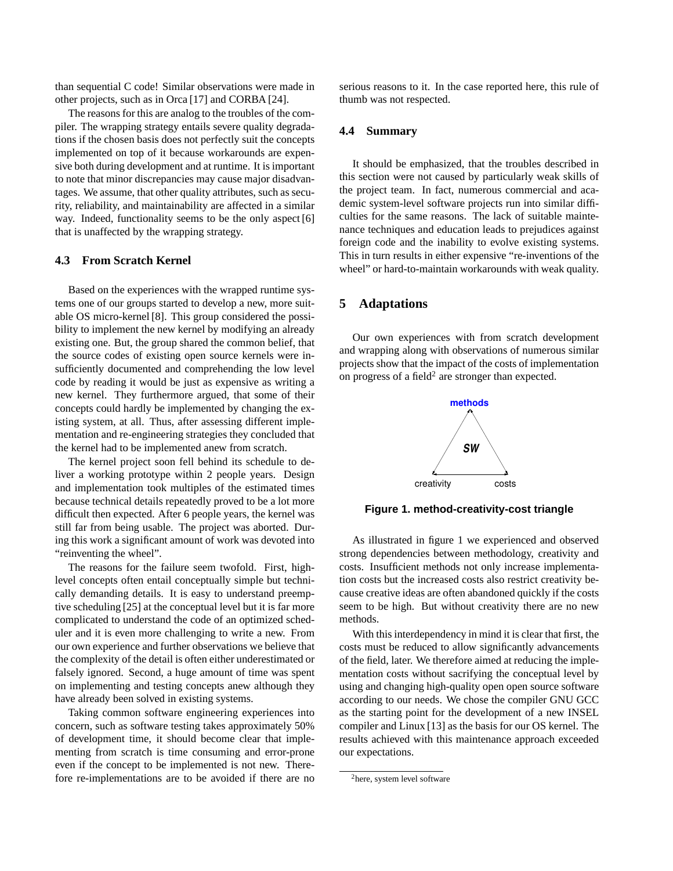than sequential C code! Similar observations were made in other projects, such as in Orca [17] and CORBA [24].

The reasons for this are analog to the troubles of the compiler. The wrapping strategy entails severe quality degradations if the chosen basis does not perfectly suit the concepts implemented on top of it because workarounds are expensive both during development and at runtime. It is important to note that minor discrepancies may cause major disadvantages. We assume, that other quality attributes, such as security, reliability, and maintainability are affected in a similar way. Indeed, functionality seems to be the only aspect [6] that is unaffected by the wrapping strategy.

#### **4.3 From Scratch Kernel**

Based on the experiences with the wrapped runtime systems one of our groups started to develop a new, more suitable OS micro-kernel [8]. This group considered the possibility to implement the new kernel by modifying an already existing one. But, the group shared the common belief, that the source codes of existing open source kernels were insufficiently documented and comprehending the low level code by reading it would be just as expensive as writing a new kernel. They furthermore argued, that some of their concepts could hardly be implemented by changing the existing system, at all. Thus, after assessing different implementation and re-engineering strategies they concluded that the kernel had to be implemented anew from scratch.

The kernel project soon fell behind its schedule to deliver a working prototype within 2 people years. Design and implementation took multiples of the estimated times because technical details repeatedly proved to be a lot more difficult then expected. After 6 people years, the kernel was still far from being usable. The project was aborted. During this work a significant amount of work was devoted into "reinventing the wheel".

The reasons for the failure seem twofold. First, highlevel concepts often entail conceptually simple but technically demanding details. It is easy to understand preemptive scheduling [25] at the conceptual level but it is far more complicated to understand the code of an optimized scheduler and it is even more challenging to write a new. From our own experience and further observations we believe that the complexity of the detail is often either underestimated or falsely ignored. Second, a huge amount of time was spent on implementing and testing concepts anew although they have already been solved in existing systems.

Taking common software engineering experiences into concern, such as software testing takes approximately 50% of development time, it should become clear that implementing from scratch is time consuming and error-prone even if the concept to be implemented is not new. Therefore re-implementations are to be avoided if there are no serious reasons to it. In the case reported here, this rule of thumb was not respected.

#### **4.4 Summary**

It should be emphasized, that the troubles described in this section were not caused by particularly weak skills of the project team. In fact, numerous commercial and academic system-level software projects run into similar difficulties for the same reasons. The lack of suitable maintenance techniques and education leads to prejudices against foreign code and the inability to evolve existing systems. This in turn results in either expensive "re-inventions of the wheel" or hard-to-maintain workarounds with weak quality.

## **5 Adaptations**

Our own experiences with from scratch development and wrapping along with observations of numerous similar projects show that the impact of the costs of implementation on progress of a field<sup>2</sup> are stronger than expected.



**Figure 1. method-creativity-cost triangle**

As illustrated in figure 1 we experienced and observed strong dependencies between methodology, creativity and costs. Insufficient methods not only increase implementation costs but the increased costs also restrict creativity because creative ideas are often abandoned quickly if the costs seem to be high. But without creativity there are no new methods.

With this interdependency in mind it is clear that first, the costs must be reduced to allow significantly advancements of the field, later. We therefore aimed at reducing the implementation costs without sacrifying the conceptual level by using and changing high-quality open open source software according to our needs. We chose the compiler GNU GCC as the starting point for the development of a new INSEL compiler and Linux [13] as the basis for our OS kernel. The results achieved with this maintenance approach exceeded our expectations.

<sup>2</sup>here, system level software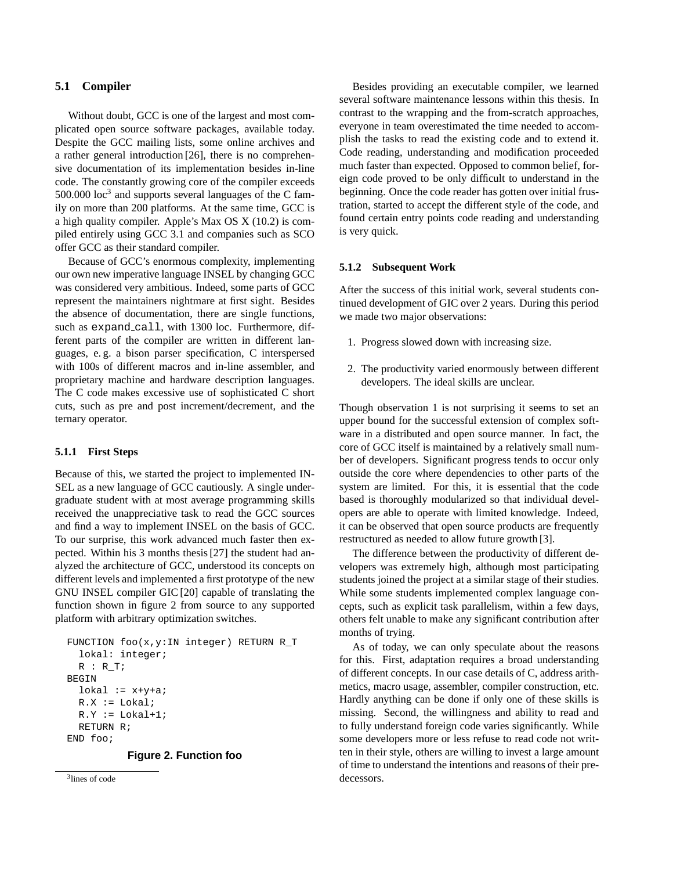#### **5.1 Compiler**

Without doubt, GCC is one of the largest and most complicated open source software packages, available today. Despite the GCC mailing lists, some online archives and a rather general introduction [26], there is no comprehensive documentation of its implementation besides in-line code. The constantly growing core of the compiler exceeds 500.000 loc<sup>3</sup> and supports several languages of the C family on more than 200 platforms. At the same time, GCC is a high quality compiler. Apple's Max OS X (10.2) is compiled entirely using GCC 3.1 and companies such as SCO offer GCC as their standard compiler.

Because of GCC's enormous complexity, implementing our own new imperative language INSEL by changing GCC was considered very ambitious. Indeed, some parts of GCC represent the maintainers nightmare at first sight. Besides the absence of documentation, there are single functions, such as expand call, with 1300 loc. Furthermore, different parts of the compiler are written in different languages, e. g. a bison parser specification, C interspersed with 100s of different macros and in-line assembler, and proprietary machine and hardware description languages. The C code makes excessive use of sophisticated C short cuts, such as pre and post increment/decrement, and the ternary operator.

#### **5.1.1 First Steps**

Because of this, we started the project to implemented IN-SEL as a new language of GCC cautiously. A single undergraduate student with at most average programming skills received the unappreciative task to read the GCC sources and find a way to implement INSEL on the basis of GCC. To our surprise, this work advanced much faster then expected. Within his 3 months thesis [27] the student had analyzed the architecture of GCC, understood its concepts on different levels and implemented a first prototype of the new GNU INSEL compiler GIC [20] capable of translating the function shown in figure 2 from source to any supported platform with arbitrary optimization switches.

```
FUNCTION foo(x,y:IN integer) RETURN R_T
  lokal: integer;
  R : R_T;BEGIN
  lokal := x+y+a;
  R.X := Lokal;R.Y := Lokal+1;RETURN R;
END foo;
```
# **Figure 2. Function foo**

```
3
lines of code
```
Besides providing an executable compiler, we learned several software maintenance lessons within this thesis. In contrast to the wrapping and the from-scratch approaches, everyone in team overestimated the time needed to accomplish the tasks to read the existing code and to extend it. Code reading, understanding and modification proceeded much faster than expected. Opposed to common belief, foreign code proved to be only difficult to understand in the beginning. Once the code reader has gotten over initial frustration, started to accept the different style of the code, and found certain entry points code reading and understanding is very quick.

## **5.1.2 Subsequent Work**

After the success of this initial work, several students continued development of GIC over 2 years. During this period we made two major observations:

- 1. Progress slowed down with increasing size.
- 2. The productivity varied enormously between different developers. The ideal skills are unclear.

Though observation 1 is not surprising it seems to set an upper bound for the successful extension of complex software in a distributed and open source manner. In fact, the core of GCC itself is maintained by a relatively small number of developers. Significant progress tends to occur only outside the core where dependencies to other parts of the system are limited. For this, it is essential that the code based is thoroughly modularized so that individual developers are able to operate with limited knowledge. Indeed, it can be observed that open source products are frequently restructured as needed to allow future growth [3].

The difference between the productivity of different developers was extremely high, although most participating students joined the project at a similar stage of their studies. While some students implemented complex language concepts, such as explicit task parallelism, within a few days, others felt unable to make any significant contribution after months of trying.

As of today, we can only speculate about the reasons for this. First, adaptation requires a broad understanding of different concepts. In our case details of C, address arithmetics, macro usage, assembler, compiler construction, etc. Hardly anything can be done if only one of these skills is missing. Second, the willingness and ability to read and to fully understand foreign code varies significantly. While some developers more or less refuse to read code not written in their style, others are willing to invest a large amount of time to understand the intentions and reasons of their predecessors.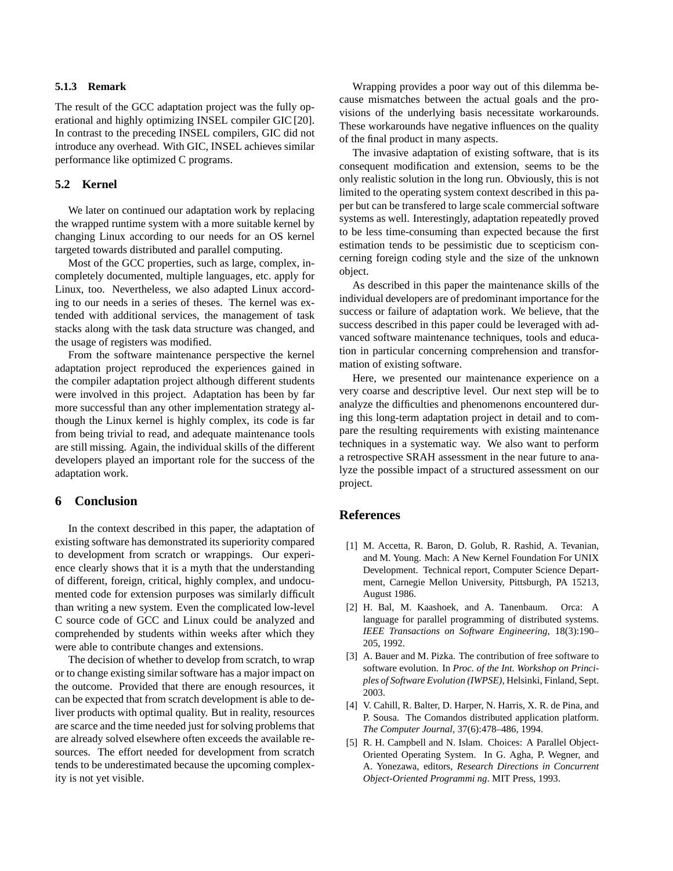#### **5.1.3 Remark**

The result of the GCC adaptation project was the fully operational and highly optimizing INSEL compiler GIC [20]. In contrast to the preceding INSEL compilers, GIC did not introduce any overhead. With GIC, INSEL achieves similar performance like optimized C programs.

#### **5.2 Kernel**

We later on continued our adaptation work by replacing the wrapped runtime system with a more suitable kernel by changing Linux according to our needs for an OS kernel targeted towards distributed and parallel computing.

Most of the GCC properties, such as large, complex, incompletely documented, multiple languages, etc. apply for Linux, too. Nevertheless, we also adapted Linux according to our needs in a series of theses. The kernel was extended with additional services, the management of task stacks along with the task data structure was changed, and the usage of registers was modified.

From the software maintenance perspective the kernel adaptation project reproduced the experiences gained in the compiler adaptation project although different students were involved in this project. Adaptation has been by far more successful than any other implementation strategy although the Linux kernel is highly complex, its code is far from being trivial to read, and adequate maintenance tools are still missing. Again, the individual skills of the different developers played an important role for the success of the adaptation work.

## **6 Conclusion**

In the context described in this paper, the adaptation of existing software has demonstrated its superiority compared to development from scratch or wrappings. Our experience clearly shows that it is a myth that the understanding of different, foreign, critical, highly complex, and undocumented code for extension purposes was similarly difficult than writing a new system. Even the complicated low-level C source code of GCC and Linux could be analyzed and comprehended by students within weeks after which they were able to contribute changes and extensions.

The decision of whether to develop from scratch, to wrap or to change existing similar software has a major impact on the outcome. Provided that there are enough resources, it can be expected that from scratch development is able to deliver products with optimal quality. But in reality, resources are scarce and the time needed just for solving problems that are already solved elsewhere often exceeds the available resources. The effort needed for development from scratch tends to be underestimated because the upcoming complexity is not yet visible.

Wrapping provides a poor way out of this dilemma because mismatches between the actual goals and the provisions of the underlying basis necessitate workarounds. These workarounds have negative influences on the quality of the final product in many aspects.

The invasive adaptation of existing software, that is its consequent modification and extension, seems to be the only realistic solution in the long run. Obviously, this is not limited to the operating system context described in this paper but can be transfered to large scale commercial software systems as well. Interestingly, adaptation repeatedly proved to be less time-consuming than expected because the first estimation tends to be pessimistic due to scepticism concerning foreign coding style and the size of the unknown object.

As described in this paper the maintenance skills of the individual developers are of predominant importance for the success or failure of adaptation work. We believe, that the success described in this paper could be leveraged with advanced software maintenance techniques, tools and education in particular concerning comprehension and transformation of existing software.

Here, we presented our maintenance experience on a very coarse and descriptive level. Our next step will be to analyze the difficulties and phenomenons encountered during this long-term adaptation project in detail and to compare the resulting requirements with existing maintenance techniques in a systematic way. We also want to perform a retrospective SRAH assessment in the near future to analyze the possible impact of a structured assessment on our project.

# **References**

- [1] M. Accetta, R. Baron, D. Golub, R. Rashid, A. Tevanian, and M. Young. Mach: A New Kernel Foundation For UNIX Development. Technical report, Computer Science Department, Carnegie Mellon University, Pittsburgh, PA 15213, August 1986.
- [2] H. Bal, M. Kaashoek, and A. Tanenbaum. Orca: A language for parallel programming of distributed systems. *IEEE Transactions on Software Engineering*, 18(3):190– 205, 1992.
- [3] A. Bauer and M. Pizka. The contribution of free software to software evolution. In *Proc. of the Int. Workshop on Principles of Software Evolution (IWPSE)*, Helsinki, Finland, Sept. 2003.
- [4] V. Cahill, R. Balter, D. Harper, N. Harris, X. R. de Pina, and P. Sousa. The Comandos distributed application platform. *The Computer Journal*, 37(6):478–486, 1994.
- [5] R. H. Campbell and N. Islam. Choices: A Parallel Object-Oriented Operating System. In G. Agha, P. Wegner, and A. Yonezawa, editors, *Research Directions in Concurrent Object-Oriented Programmi ng*. MIT Press, 1993.